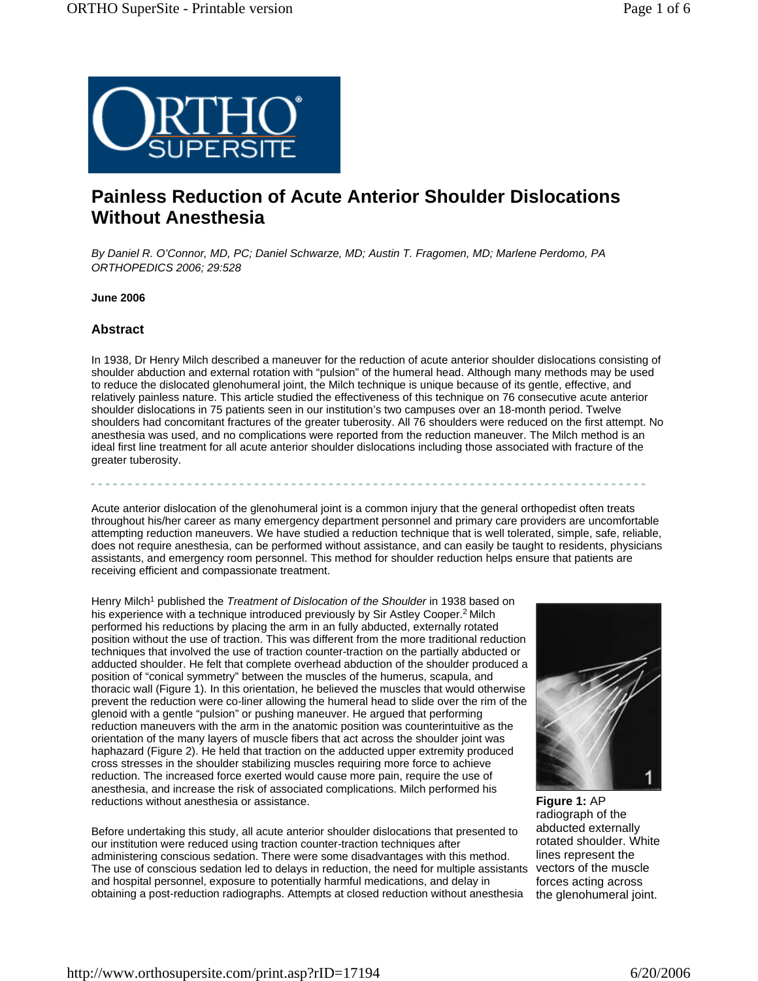

# **Painless Reduction of Acute Anterior Shoulder Dislocations Without Anesthesia**

*By Daniel R. O'Connor, MD, PC; Daniel Schwarze, MD; Austin T. Fragomen, MD; Marlene Perdomo, PA ORTHOPEDICS 2006; 29:528*

**June 2006**

# **Abstract**

In 1938, Dr Henry Milch described a maneuver for the reduction of acute anterior shoulder dislocations consisting of shoulder abduction and external rotation with "pulsion" of the humeral head. Although many methods may be used to reduce the dislocated glenohumeral joint, the Milch technique is unique because of its gentle, effective, and relatively painless nature. This article studied the effectiveness of this technique on 76 consecutive acute anterior shoulder dislocations in 75 patients seen in our institution's two campuses over an 18-month period. Twelve shoulders had concomitant fractures of the greater tuberosity. All 76 shoulders were reduced on the first attempt. No anesthesia was used, and no complications were reported from the reduction maneuver. The Milch method is an ideal first line treatment for all acute anterior shoulder dislocations including those associated with fracture of the greater tuberosity.

Acute anterior dislocation of the glenohumeral joint is a common injury that the general orthopedist often treats throughout his/her career as many emergency department personnel and primary care providers are uncomfortable attempting reduction maneuvers. We have studied a reduction technique that is well tolerated, simple, safe, reliable, does not require anesthesia, can be performed without assistance, and can easily be taught to residents, physicians assistants, and emergency room personnel. This method for shoulder reduction helps ensure that patients are receiving efficient and compassionate treatment.

Henry Milch<sup>1</sup> published the *Treatment of Dislocation of the Shoulder* in 1938 based on his experience with a technique introduced previously by Sir Astley Cooper.<sup>2</sup> Milch performed his reductions by placing the arm in an fully abducted, externally rotated position without the use of traction. This was different from the more traditional reduction techniques that involved the use of traction counter-traction on the partially abducted or adducted shoulder. He felt that complete overhead abduction of the shoulder produced a position of "conical symmetry" between the muscles of the humerus, scapula, and thoracic wall (Figure 1). In this orientation, he believed the muscles that would otherwise prevent the reduction were co-liner allowing the humeral head to slide over the rim of the glenoid with a gentle "pulsion" or pushing maneuver. He argued that performing reduction maneuvers with the arm in the anatomic position was counterintuitive as the orientation of the many layers of muscle fibers that act across the shoulder joint was haphazard (Figure 2). He held that traction on the adducted upper extremity produced cross stresses in the shoulder stabilizing muscles requiring more force to achieve reduction. The increased force exerted would cause more pain, require the use of anesthesia, and increase the risk of associated complications. Milch performed his reductions without anesthesia or assistance.

Before undertaking this study, all acute anterior shoulder dislocations that presented to our institution were reduced using traction counter-traction techniques after administering conscious sedation. There were some disadvantages with this method. The use of conscious sedation led to delays in reduction, the need for multiple assistants vectors of the muscle and hospital personnel, exposure to potentially harmful medications, and delay in obtaining a post-reduction radiographs. Attempts at closed reduction without anesthesia



**Figure 1:** AP radiograph of the abducted externally rotated shoulder. White lines represent the forces acting across the glenohumeral joint.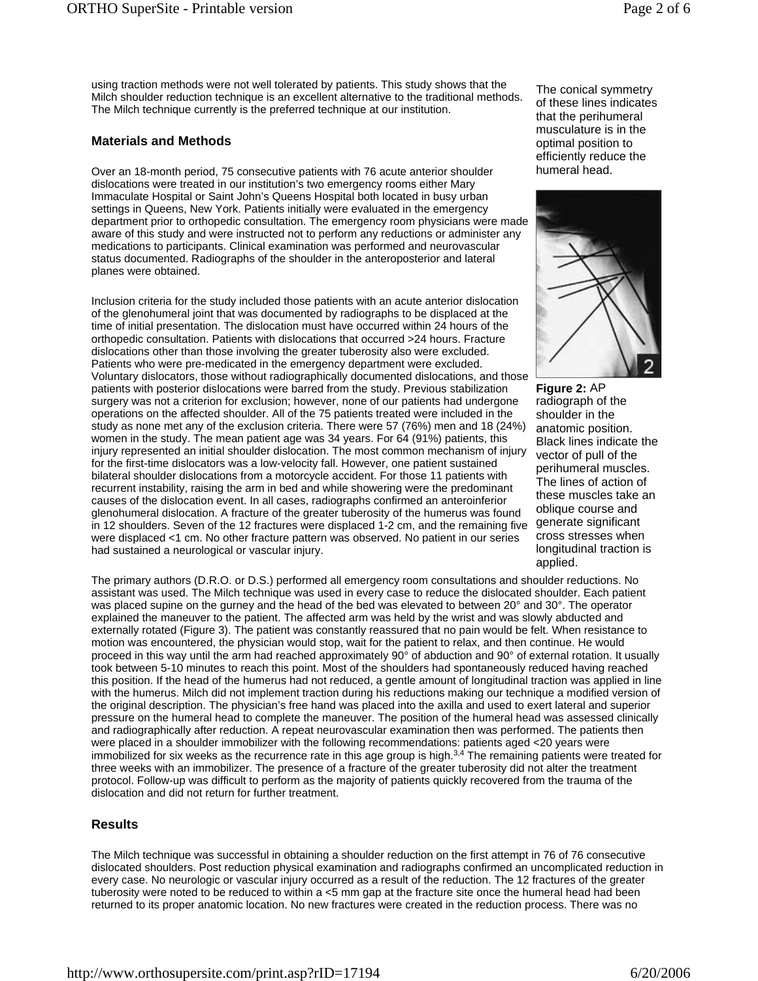using traction methods were not well tolerated by patients. This study shows that the Milch shoulder reduction technique is an excellent alternative to the traditional methods. The Milch technique currently is the preferred technique at our institution.

# **Materials and Methods**

Over an 18-month period, 75 consecutive patients with 76 acute anterior shoulder dislocations were treated in our institution's two emergency rooms either Mary Immaculate Hospital or Saint John's Queens Hospital both located in busy urban settings in Queens, New York. Patients initially were evaluated in the emergency department prior to orthopedic consultation. The emergency room physicians were made aware of this study and were instructed not to perform any reductions or administer any medications to participants. Clinical examination was performed and neurovascular status documented. Radiographs of the shoulder in the anteroposterior and lateral planes were obtained.

Inclusion criteria for the study included those patients with an acute anterior dislocation of the glenohumeral joint that was documented by radiographs to be displaced at the time of initial presentation. The dislocation must have occurred within 24 hours of the orthopedic consultation. Patients with dislocations that occurred >24 hours. Fracture dislocations other than those involving the greater tuberosity also were excluded. Patients who were pre-medicated in the emergency department were excluded. Voluntary dislocators, those without radiographically documented dislocations, and those patients with posterior dislocations were barred from the study. Previous stabilization surgery was not a criterion for exclusion; however, none of our patients had undergone operations on the affected shoulder. All of the 75 patients treated were included in the study as none met any of the exclusion criteria. There were 57 (76%) men and 18 (24%) women in the study. The mean patient age was 34 years. For 64 (91%) patients, this injury represented an initial shoulder dislocation. The most common mechanism of injury for the first-time dislocators was a low-velocity fall. However, one patient sustained bilateral shoulder dislocations from a motorcycle accident. For those 11 patients with recurrent instability, raising the arm in bed and while showering were the predominant causes of the dislocation event. In all cases, radiographs confirmed an anteroinferior glenohumeral dislocation. A fracture of the greater tuberosity of the humerus was found in 12 shoulders. Seven of the 12 fractures were displaced 1-2 cm, and the remaining five were displaced <1 cm. No other fracture pattern was observed. No patient in our series had sustained a neurological or vascular injury.

The primary authors (D.R.O. or D.S.) performed all emergency room consultations and shoulder reductions. No assistant was used. The Milch technique was used in every case to reduce the dislocated shoulder. Each patient was placed supine on the gurney and the head of the bed was elevated to between 20° and 30°. The operator explained the maneuver to the patient. The affected arm was held by the wrist and was slowly abducted and externally rotated (Figure 3). The patient was constantly reassured that no pain would be felt. When resistance to motion was encountered, the physician would stop, wait for the patient to relax, and then continue. He would proceed in this way until the arm had reached approximately 90° of abduction and 90° of external rotation. It usually took between 5-10 minutes to reach this point. Most of the shoulders had spontaneously reduced having reached this position. If the head of the humerus had not reduced, a gentle amount of longitudinal traction was applied in line with the humerus. Milch did not implement traction during his reductions making our technique a modified version of the original description. The physician's free hand was placed into the axilla and used to exert lateral and superior pressure on the humeral head to complete the maneuver. The position of the humeral head was assessed clinically and radiographically after reduction. A repeat neurovascular examination then was performed. The patients then were placed in a shoulder immobilizer with the following recommendations: patients aged <20 years were immobilized for six weeks as the recurrence rate in this age group is high. $3,4$  The remaining patients were treated for three weeks with an immobilizer. The presence of a fracture of the greater tuberosity did not alter the treatment protocol. Follow-up was difficult to perform as the majority of patients quickly recovered from the trauma of the dislocation and did not return for further treatment.

# **Results**

The Milch technique was successful in obtaining a shoulder reduction on the first attempt in 76 of 76 consecutive dislocated shoulders. Post reduction physical examination and radiographs confirmed an uncomplicated reduction in every case. No neurologic or vascular injury occurred as a result of the reduction. The 12 fractures of the greater tuberosity were noted to be reduced to within a <5 mm gap at the fracture site once the humeral head had been returned to its proper anatomic location. No new fractures were created in the reduction process. There was no

The conical symmetry of these lines indicates that the perihumeral musculature is in the optimal position to efficiently reduce the humeral head.



**Figure 2:** AP radiograph of the shoulder in the anatomic position. Black lines indicate the vector of pull of the perihumeral muscles. The lines of action of these muscles take an oblique course and generate significant cross stresses when longitudinal traction is applied.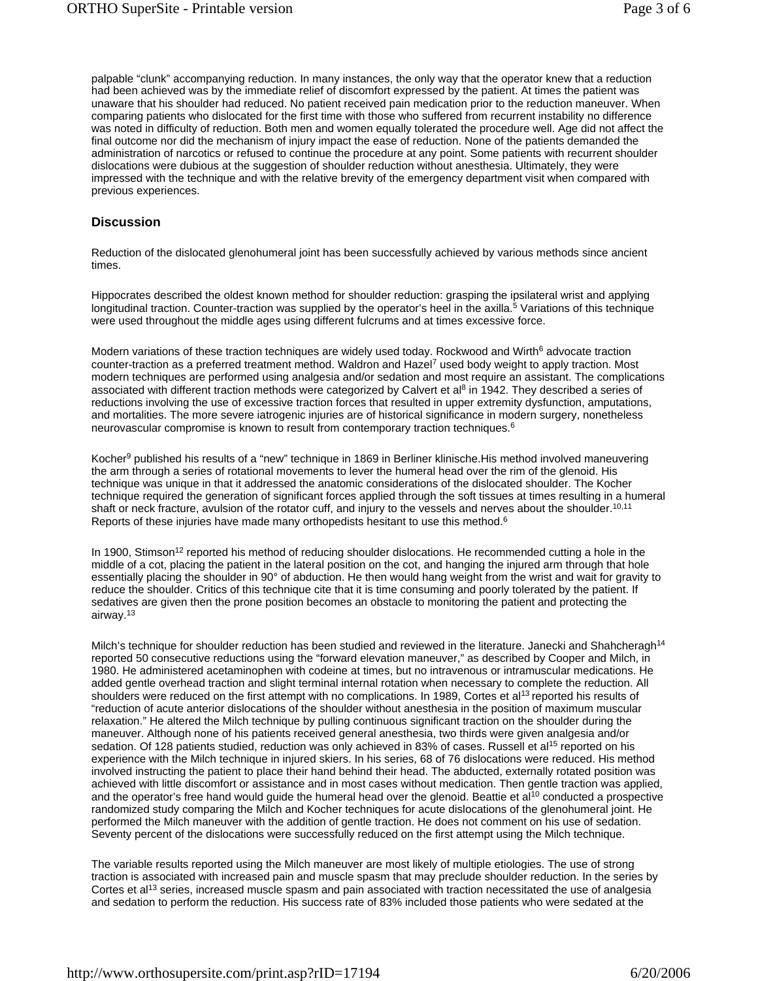palpable "clunk" accompanying reduction. In many instances, the only way that the operator knew that a reduction had been achieved was by the immediate relief of discomfort expressed by the patient. At times the patient was unaware that his shoulder had reduced. No patient received pain medication prior to the reduction maneuver. When comparing patients who dislocated for the first time with those who suffered from recurrent instability no difference was noted in difficulty of reduction. Both men and women equally tolerated the procedure well. Age did not affect the final outcome nor did the mechanism of injury impact the ease of reduction. None of the patients demanded the administration of narcotics or refused to continue the procedure at any point. Some patients with recurrent shoulder dislocations were dubious at the suggestion of shoulder reduction without anesthesia. Ultimately, they were impressed with the technique and with the relative brevity of the emergency department visit when compared with previous experiences.

### **Discussion**

Reduction of the dislocated glenohumeral joint has been successfully achieved by various methods since ancient times.

Hippocrates described the oldest known method for shoulder reduction: grasping the ipsilateral wrist and applying longitudinal traction. Counter-traction was supplied by the operator's heel in the axilla.<sup>5</sup> Variations of this technique were used throughout the middle ages using different fulcrums and at times excessive force.

Modern variations of these traction techniques are widely used today. Rockwood and Wirth<sup>6</sup> advocate traction counter-traction as a preferred treatment method. Waldron and Hazel<sup>7</sup> used body weight to apply traction. Most modern techniques are performed using analgesia and/or sedation and most require an assistant. The complications associated with different traction methods were categorized by Calvert et al<sup>8</sup> in 1942. They described a series of reductions involving the use of excessive traction forces that resulted in upper extremity dysfunction, amputations, and mortalities. The more severe iatrogenic injuries are of historical significance in modern surgery, nonetheless neurovascular compromise is known to result from contemporary traction techniques.6

Kocher<sup>9</sup> published his results of a "new" technique in 1869 in Berliner klinische.His method involved maneuvering the arm through a series of rotational movements to lever the humeral head over the rim of the glenoid. His technique was unique in that it addressed the anatomic considerations of the dislocated shoulder. The Kocher technique required the generation of significant forces applied through the soft tissues at times resulting in a humeral shaft or neck fracture, avulsion of the rotator cuff, and injury to the vessels and nerves about the shoulder.<sup>10,11</sup> Reports of these injuries have made many orthopedists hesitant to use this method. $6$ 

In 1900, Stimson<sup>12</sup> reported his method of reducing shoulder dislocations. He recommended cutting a hole in the middle of a cot, placing the patient in the lateral position on the cot, and hanging the injured arm through that hole essentially placing the shoulder in 90° of abduction. He then would hang weight from the wrist and wait for gravity to reduce the shoulder. Critics of this technique cite that it is time consuming and poorly tolerated by the patient. If sedatives are given then the prone position becomes an obstacle to monitoring the patient and protecting the airway.13

Milch's technique for shoulder reduction has been studied and reviewed in the literature. Janecki and Shahcheragh<sup>14</sup> reported 50 consecutive reductions using the "forward elevation maneuver," as described by Cooper and Milch, in 1980. He administered acetaminophen with codeine at times, but no intravenous or intramuscular medications. He added gentle overhead traction and slight terminal internal rotation when necessary to complete the reduction. All shoulders were reduced on the first attempt with no complications. In 1989, Cortes et al<sup>13</sup> reported his results of "reduction of acute anterior dislocations of the shoulder without anesthesia in the position of maximum muscular relaxation." He altered the Milch technique by pulling continuous significant traction on the shoulder during the maneuver. Although none of his patients received general anesthesia, two thirds were given analgesia and/or sedation. Of 128 patients studied, reduction was only achieved in 83% of cases. Russell et al<sup>15</sup> reported on his experience with the Milch technique in injured skiers. In his series, 68 of 76 dislocations were reduced. His method involved instructing the patient to place their hand behind their head. The abducted, externally rotated position was achieved with little discomfort or assistance and in most cases without medication. Then gentle traction was applied, and the operator's free hand would guide the humeral head over the glenoid. Beattie et al<sup>10</sup> conducted a prospective randomized study comparing the Milch and Kocher techniques for acute dislocations of the glenohumeral joint. He performed the Milch maneuver with the addition of gentle traction. He does not comment on his use of sedation. Seventy percent of the dislocations were successfully reduced on the first attempt using the Milch technique.

The variable results reported using the Milch maneuver are most likely of multiple etiologies. The use of strong traction is associated with increased pain and muscle spasm that may preclude shoulder reduction. In the series by Cortes et al<sup>13</sup> series, increased muscle spasm and pain associated with traction necessitated the use of analgesia and sedation to perform the reduction. His success rate of 83% included those patients who were sedated at the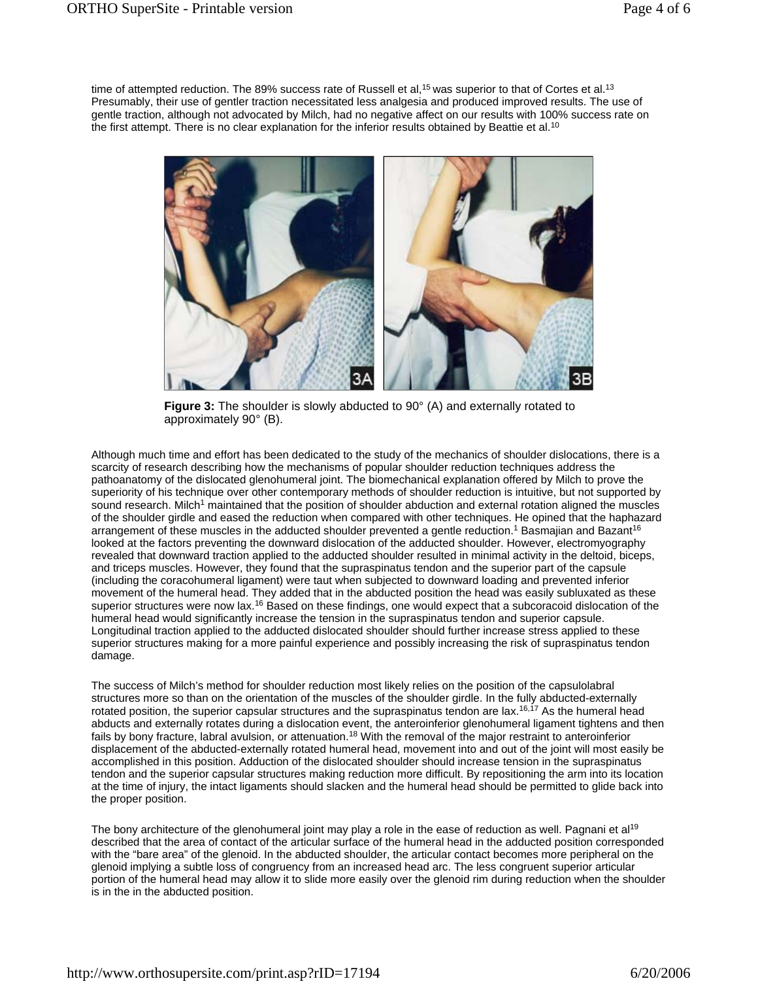time of attempted reduction. The 89% success rate of Russell et al,<sup>15</sup> was superior to that of Cortes et al.<sup>13</sup> Presumably, their use of gentler traction necessitated less analgesia and produced improved results. The use of gentle traction, although not advocated by Milch, had no negative affect on our results with 100% success rate on the first attempt. There is no clear explanation for the inferior results obtained by Beattie et al.<sup>10</sup>



**Figure 3:** The shoulder is slowly abducted to 90° (A) and externally rotated to approximately 90° (B).

Although much time and effort has been dedicated to the study of the mechanics of shoulder dislocations, there is a scarcity of research describing how the mechanisms of popular shoulder reduction techniques address the pathoanatomy of the dislocated glenohumeral joint. The biomechanical explanation offered by Milch to prove the superiority of his technique over other contemporary methods of shoulder reduction is intuitive, but not supported by sound research. Milch<sup>1</sup> maintained that the position of shoulder abduction and external rotation aligned the muscles of the shoulder girdle and eased the reduction when compared with other techniques. He opined that the haphazard arrangement of these muscles in the adducted shoulder prevented a gentle reduction.<sup>1</sup> Basmajian and Bazant<sup>16</sup> looked at the factors preventing the downward dislocation of the adducted shoulder. However, electromyography revealed that downward traction applied to the adducted shoulder resulted in minimal activity in the deltoid, biceps, and triceps muscles. However, they found that the supraspinatus tendon and the superior part of the capsule (including the coracohumeral ligament) were taut when subjected to downward loading and prevented inferior movement of the humeral head. They added that in the abducted position the head was easily subluxated as these superior structures were now lax.<sup>16</sup> Based on these findings, one would expect that a subcoracoid dislocation of the humeral head would significantly increase the tension in the supraspinatus tendon and superior capsule. Longitudinal traction applied to the adducted dislocated shoulder should further increase stress applied to these superior structures making for a more painful experience and possibly increasing the risk of supraspinatus tendon damage.

The success of Milch's method for shoulder reduction most likely relies on the position of the capsulolabral structures more so than on the orientation of the muscles of the shoulder girdle. In the fully abducted-externally rotated position, the superior capsular structures and the supraspinatus tendon are lax.<sup>16,17</sup> As the humeral head abducts and externally rotates during a dislocation event, the anteroinferior glenohumeral ligament tightens and then fails by bony fracture, labral avulsion, or attenuation.<sup>18</sup> With the removal of the major restraint to anteroinferior displacement of the abducted-externally rotated humeral head, movement into and out of the joint will most easily be accomplished in this position. Adduction of the dislocated shoulder should increase tension in the supraspinatus tendon and the superior capsular structures making reduction more difficult. By repositioning the arm into its location at the time of injury, the intact ligaments should slacken and the humeral head should be permitted to glide back into the proper position.

The bony architecture of the glenohumeral joint may play a role in the ease of reduction as well. Pagnani et al<sup>19</sup> described that the area of contact of the articular surface of the humeral head in the adducted position corresponded with the "bare area" of the glenoid. In the abducted shoulder, the articular contact becomes more peripheral on the glenoid implying a subtle loss of congruency from an increased head arc. The less congruent superior articular portion of the humeral head may allow it to slide more easily over the glenoid rim during reduction when the shoulder is in the in the abducted position.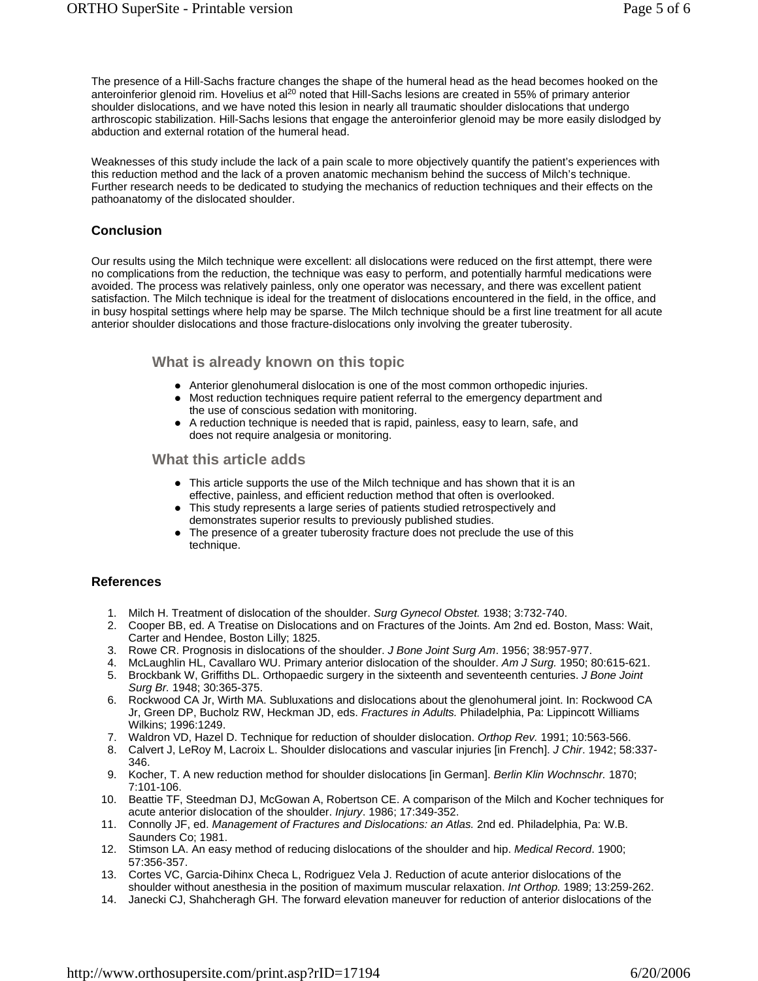The presence of a Hill-Sachs fracture changes the shape of the humeral head as the head becomes hooked on the anteroinferior glenoid rim. Hovelius et al<sup>20</sup> noted that Hill-Sachs lesions are created in 55% of primary anterior shoulder dislocations, and we have noted this lesion in nearly all traumatic shoulder dislocations that undergo arthroscopic stabilization. Hill-Sachs lesions that engage the anteroinferior glenoid may be more easily dislodged by abduction and external rotation of the humeral head.

Weaknesses of this study include the lack of a pain scale to more objectively quantify the patient's experiences with this reduction method and the lack of a proven anatomic mechanism behind the success of Milch's technique. Further research needs to be dedicated to studying the mechanics of reduction techniques and their effects on the pathoanatomy of the dislocated shoulder.

#### **Conclusion**

Our results using the Milch technique were excellent: all dislocations were reduced on the first attempt, there were no complications from the reduction, the technique was easy to perform, and potentially harmful medications were avoided. The process was relatively painless, only one operator was necessary, and there was excellent patient satisfaction. The Milch technique is ideal for the treatment of dislocations encountered in the field, in the office, and in busy hospital settings where help may be sparse. The Milch technique should be a first line treatment for all acute anterior shoulder dislocations and those fracture-dislocations only involving the greater tuberosity.

# **What is already known on this topic**

- Anterior glenohumeral dislocation is one of the most common orthopedic injuries.
- Most reduction techniques require patient referral to the emergency department and the use of conscious sedation with monitoring.
- A reduction technique is needed that is rapid, painless, easy to learn, safe, and does not require analgesia or monitoring.

#### **What this article adds**

- This article supports the use of the Milch technique and has shown that it is an effective, painless, and efficient reduction method that often is overlooked.
- This study represents a large series of patients studied retrospectively and demonstrates superior results to previously published studies.
- The presence of a greater tuberosity fracture does not preclude the use of this technique.

# **References**

- 1. Milch H. Treatment of dislocation of the shoulder. *Surg Gynecol Obstet.* 1938; 3:732-740.
- 2. Cooper BB, ed. A Treatise on Dislocations and on Fractures of the Joints. Am 2nd ed. Boston, Mass: Wait, Carter and Hendee, Boston Lilly; 1825.
- 3. Rowe CR. Prognosis in dislocations of the shoulder. *J Bone Joint Surg Am*. 1956; 38:957-977.
- 4. McLaughlin HL, Cavallaro WU. Primary anterior dislocation of the shoulder. *Am J Surg.* 1950; 80:615-621.
- 5. Brockbank W, Griffiths DL. Orthopaedic surgery in the sixteenth and seventeenth centuries. *J Bone Joint Surg Br.* 1948; 30:365-375.
- 6. Rockwood CA Jr, Wirth MA. Subluxations and dislocations about the glenohumeral joint. In: Rockwood CA Jr, Green DP, Bucholz RW, Heckman JD, eds. *Fractures in Adults.* Philadelphia, Pa: Lippincott Williams Wilkins; 1996:1249.
- 7. Waldron VD, Hazel D. Technique for reduction of shoulder dislocation. *Orthop Rev.* 1991; 10:563-566.
- 8. Calvert J, LeRoy M, Lacroix L. Shoulder dislocations and vascular injuries [in French]. *J Chir*. 1942; 58:337- 346.
- 9. Kocher, T. A new reduction method for shoulder dislocations [in German]. *Berlin Klin Wochnschr.* 1870; 7:101-106.
- 10. Beattie TF, Steedman DJ, McGowan A, Robertson CE. A comparison of the Milch and Kocher techniques for acute anterior dislocation of the shoulder. *Injury*. 1986; 17:349-352.
- 11. Connolly JF, ed. *Management of Fractures and Dislocations: an Atlas.* 2nd ed. Philadelphia, Pa: W.B. Saunders Co; 1981.
- 12. Stimson LA. An easy method of reducing dislocations of the shoulder and hip. *Medical Record*. 1900; 57:356-357.
- 13. Cortes VC, Garcia-Dihinx Checa L, Rodriguez Vela J. Reduction of acute anterior dislocations of the shoulder without anesthesia in the position of maximum muscular relaxation. *Int Orthop.* 1989; 13:259-262.
- 14. Janecki CJ, Shahcheragh GH. The forward elevation maneuver for reduction of anterior dislocations of the